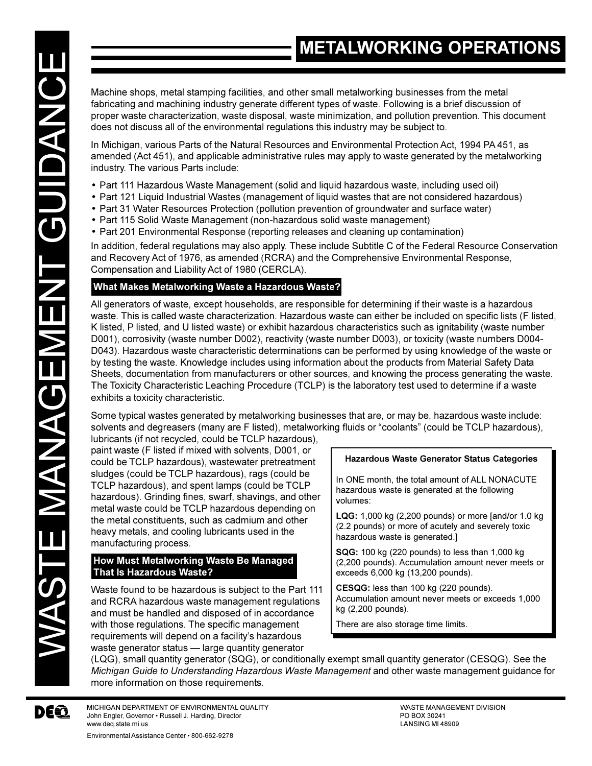Machine shops, metal stamping facilities, and other small metalworking businesses from the metal fabricating and machining industry generate different types of waste. Following is a brief discussion of proper waste characterization, waste disposal, waste minimization, and pollution prevention. This document does not discuss all of the environmental regulations this industry may be subject to.

In Michigan, various Parts of the Natural Resources and Environmental Protection Act, 1994 PA 451, as amended (Act 451), and applicable administrative rules may apply to waste generated by the metalworking industry. The various Parts include:

- Part 111 Hazardous Waste Management (solid and liquid hazardous waste, including used oil)
- Part 121 Liquid Industrial Wastes (management of liquid wastes that are not considered hazardous)
- Part 31 Water Resources Protection (pollution prevention of groundwater and surface water)
- Part 115 Solid Waste Management (non-hazardous solid waste management)
- Part 201 Environmental Response (reporting releases and cleaning up contamination)

In addition, federal regulations may also apply. These include Subtitle C of the Federal Resource Conservation and Recovery Act of 1976, as amended (RCRA) and the Comprehensive Environmental Response, Compensation and Liability Act of 1980 (CERCLA).

## **What Makes Metalworking Waste a Hazardous Waste?**

All generators of waste, except households, are responsible for determining if their waste is a hazardous waste. This is called waste characterization. Hazardous waste can either be included on specific lists (F listed, K listed, P listed, and U listed waste) or exhibit hazardous characteristics such as ignitability (waste number D001), corrosivity (waste number D002), reactivity (waste number D003), or toxicity (waste numbers D004- D043). Hazardous waste characteristic determinations can be performed by using knowledge of the waste or by testing the waste. Knowledge includes using information about the products from Material Safety Data Sheets, documentation from manufacturers or other sources, and knowing the process generating the waste. The Toxicity Characteristic Leaching Procedure (TCLP) is the laboratory test used to determine if a waste exhibits a toxicity characteristic.

Some typical wastes generated by metalworking businesses that are, or may be, hazardous waste include: solvents and degreasers (many are F listed), metalworking fluids or "coolants" (could be TCLP hazardous), lubricants (if not recycled, could be TCLP hazardous),

paint waste (F listed if mixed with solvents, D001, or could be TCLP hazardous), wastewater pretreatment sludges (could be TCLP hazardous), rags (could be TCLP hazardous), and spent lamps (could be TCLP hazardous). Grinding fines, swarf, shavings, and other metal waste could be TCLP hazardous depending on the metal constituents, such as cadmium and other heavy metals, and cooling lubricants used in the manufacturing process.

### **How Must Metalworking Waste Be Managed That Is Hazardous Waste?**

Waste found to be hazardous is subject to the Part 111 and RCRA hazardous waste management regulations and must be handled and disposed of in accordance with those regulations. The specific management requirements will depend on a facility's hazardous waste generator status - large quantity generator

#### **Hazardous Waste Generator Status Categories**

In ONE month, the total amount of ALL NONACUTE hazardous waste is generated at the following volumes:

**LQG:** 1,000 kg (2,200 pounds) or more [and/or 1.0 kg (2.2 pounds) or more of acutely and severely toxic hazardous waste is generated.]

**SQG:** 100 kg (220 pounds) to less than 1,000 kg (2,200 pounds). Accumulation amount never meets or exceeds 6,000 kg (13,200 pounds).

**CESQG:** less than 100 kg (220 pounds). Accumulation amount never meets or exceeds 1,000 kg (2,200 pounds).

There are also storage time limits.

(LQG), small quantity generator (SQG), or conditionally exempt small quantity generator (CESQG). See the *Michigan Guide to Understanding Hazardous Waste Management* and other waste management guidance for more information on those requirements.

MICHIGAN DEPARTMENT OF ENVIRONMENTAL QUALITY WASTE MANAGEMENT DIVISION John Engler, Governor • Russell J. Harding, Director Polyton Polyton Polyton PO BOX 30241<br>https://www.deg.state.mi.us www.deg.state.mi.us